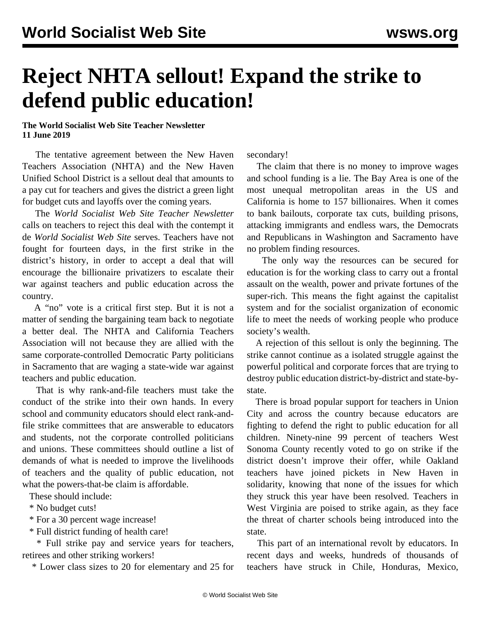## **Reject NHTA sellout! Expand the strike to defend public education!**

**The World Socialist Web Site Teacher Newsletter 11 June 2019**

 The tentative agreement between the New Haven Teachers Association (NHTA) and the New Haven Unified School District is a sellout deal that amounts to a pay cut for teachers and gives the district a green light for budget cuts and layoffs over the coming years.

 The *World Socialist Web Site Teacher Newsletter* calls on teachers to reject this deal with the contempt it de *World Socialist Web Site* serves. Teachers have not fought for fourteen days, in the first strike in the district's history, in order to accept a deal that will encourage the billionaire privatizers to escalate their war against teachers and public education across the country.

 A "no" vote is a critical first step. But it is not a matter of sending the bargaining team back to negotiate a better deal. The NHTA and California Teachers Association will not because they are allied with the same corporate-controlled Democratic Party politicians in Sacramento that are waging a state-wide war against teachers and public education.

 That is why rank-and-file teachers must take the conduct of the strike into their own hands. In every school and community educators should elect rank-andfile strike committees that are answerable to educators and students, not the corporate controlled politicians and unions. These committees should outline a list of demands of what is needed to improve the livelihoods of teachers and the quality of public education, not what the powers-that-be claim is affordable.

These should include:

\* No budget cuts!

\* For a 30 percent wage increase!

\* Full district funding of health care!

 \* Full strike pay and service years for teachers, retirees and other striking workers!

\* Lower class sizes to 20 for elementary and 25 for

secondary!

 The claim that there is no money to improve wages and school funding is a lie. The Bay Area is one of the most unequal metropolitan areas in the US and California is home to 157 billionaires. When it comes to bank bailouts, corporate tax cuts, building prisons, attacking immigrants and endless wars, the Democrats and Republicans in Washington and Sacramento have no problem finding resources.

 The only way the resources can be secured for education is for the working class to carry out a frontal assault on the wealth, power and private fortunes of the super-rich. This means the fight against the capitalist system and for the socialist organization of economic life to meet the needs of working people who produce society's wealth.

 A rejection of this sellout is only the beginning. The strike cannot continue as a isolated struggle against the powerful political and corporate forces that are trying to destroy public education district-by-district and state-bystate.

 There is broad popular support for teachers in Union City and across the country because educators are fighting to defend the right to public education for all children. Ninety-nine 99 percent of teachers West Sonoma County recently voted to go on strike if the district doesn't improve their offer, while Oakland teachers have joined pickets in New Haven in solidarity, knowing that none of the issues for which they struck this year have been resolved. Teachers in West Virginia are poised to strike again, as they face the threat of charter schools being introduced into the state.

 This part of an international revolt by educators. In recent days and weeks, hundreds of thousands of teachers have struck in Chile, Honduras, Mexico,